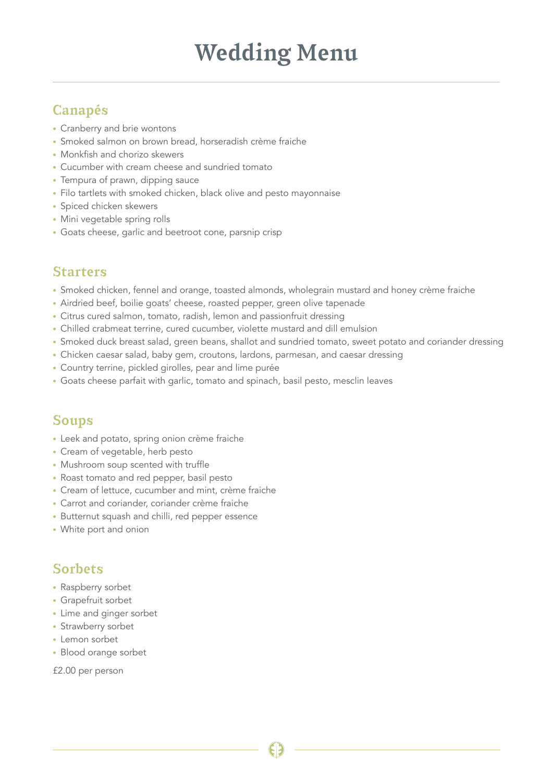# Wedding Menu

## Canapés

- Cranberry and brie wontons
- Smoked salmon on brown bread, horseradish crème fraiche
- Monkfish and chorizo skewers
- Cucumber with cream cheese and sundried tomato
- Tempura of prawn, dipping sauce
- Filo tartlets with smoked chicken, black olive and pesto mayonnaise
- Spiced chicken skewers
- Mini vegetable spring rolls
- Goats cheese, garlic and beetroot cone, parsnip crisp

#### Starters

- Smoked chicken, fennel and orange, toasted almonds, wholegrain mustard and honey crème fraiche
- Airdried beef, boilie goats' cheese, roasted pepper, green olive tapenade
- Citrus cured salmon, tomato, radish, lemon and passionfruit dressing
- Chilled crabmeat terrine, cured cucumber, violette mustard and dill emulsion
- Smoked duck breast salad, green beans, shallot and sundried tomato, sweet potato and coriander dressing
- Chicken caesar salad, baby gem, croutons, lardons, parmesan, and caesar dressing
- Country terrine, pickled girolles, pear and lime purée
- Goats cheese parfait with garlic, tomato and spinach, basil pesto, mesclin leaves

## Soups

- Leek and potato, spring onion crème fraiche
- Cream of vegetable, herb pesto
- Mushroom soup scented with truffle
- Roast tomato and red pepper, basil pesto
- Cream of lettuce, cucumber and mint, crème fraiche
- Carrot and coriander, coriander crème fraiche
- Butternut squash and chilli, red pepper essence
- White port and onion

### Sorbets

- Raspberry sorbet
- Grapefruit sorbet
- Lime and ginger sorbet
- Strawberry sorbet
- Lemon sorbet
- Blood orange sorbet
- £2.00 per person